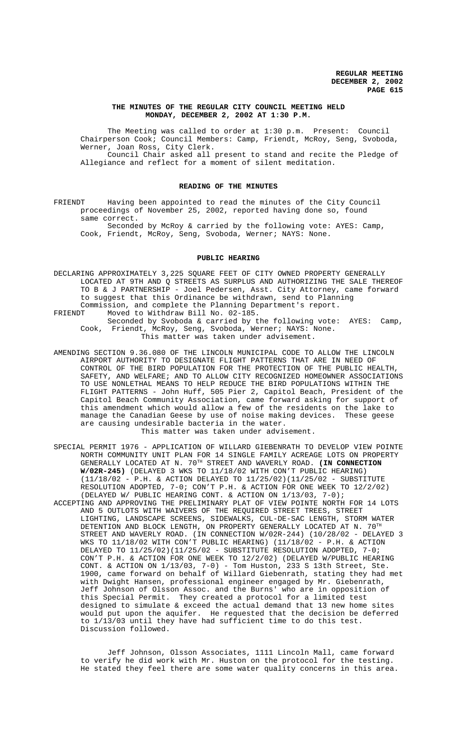### **THE MINUTES OF THE REGULAR CITY COUNCIL MEETING HELD MONDAY, DECEMBER 2, 2002 AT 1:30 P.M.**

The Meeting was called to order at 1:30 p.m. Present: Council Chairperson Cook; Council Members: Camp, Friendt, McRoy, Seng, Svoboda, Werner, Joan Ross, City Clerk. Council Chair asked all present to stand and recite the Pledge of Allegiance and reflect for a moment of silent meditation.

### **READING OF THE MINUTES**

FRIENDT Having been appointed to read the minutes of the City Council proceedings of November 25, 2002, reported having done so, found same correct.

Seconded by McRoy & carried by the following vote: AYES: Camp, Cook, Friendt, McRoy, Seng, Svoboda, Werner; NAYS: None.

### **PUBLIC HEARING**

DECLARING APPROXIMATELY 3,225 SQUARE FEET OF CITY OWNED PROPERTY GENERALLY LOCATED AT 9TH AND Q STREETS AS SURPLUS AND AUTHORIZING THE SALE THEREOF TO B & J PARTNERSHIP - Joel Pedersen, Asst. City Attorney, came forward to suggest that this Ordinance be withdrawn, send to Planning Commission, and complete the Planning Department's report.<br>FRIENDT Moved to Withdraw Bill No. 02-185. Moved to Withdraw Bill No. 02-185.

Seconded by Svoboda & carried by the following vote: AYES: Camp, Cook, Friendt, McRoy, Seng, Svoboda, Werner; NAYS: None. This matter was taken under advisement.

AMENDING SECTION 9.36.080 OF THE LINCOLN MUNICIPAL CODE TO ALLOW THE LINCOLN AIRPORT AUTHORITY TO DESIGNATE FLIGHT PATTERNS THAT ARE IN NEED OF CONTROL OF THE BIRD POPULATION FOR THE PROTECTION OF THE PUBLIC HEALTH, SAFETY, AND WELFARE; AND TO ALLOW CITY RECOGNIZED HOMEOWNER ASSOCIATIONS TO USE NONLETHAL MEANS TO HELP REDUCE THE BIRD POPULATIONS WITHIN THE FLIGHT PATTERNS - John Huff, 505 Pier 2, Capitol Beach, President of the Capitol Beach Community Association, came forward asking for support of this amendment which would allow a few of the residents on the lake to manage the Canadian Geese by use of noise making devices. These geese are causing undesirable bacteria in the water.

This matter was taken under advisement.

- SPECIAL PERMIT 1976 APPLICATION OF WILLARD GIEBENRATH TO DEVELOP VIEW POINTE NORTH COMMUNITY UNIT PLAN FOR 14 SINGLE FAMILY ACREAGE LOTS ON PROPERTY GENERALLY LOCATED AT N. 70TH STREET AND WAVERLY ROAD. **(IN CONNECTION W/02R-245)** (DELAYED 3 WKS TO 11/18/02 WITH CON'T PUBLIC HEARING) (11/18/02 - P.H. & ACTION DELAYED TO 11/25/02)(11/25/02 - SUBSTITUTE RESOLUTION ADOPTED, 7-0; CON'T P.H. & ACTION FOR ONE WEEK TO 12/2/02) (DELAYED W/ PUBLIC HEARING CONT. & ACTION ON 1/13/03, 7-0);
- ACCEPTING AND APPROVING THE PRELIMINARY PLAT OF VIEW POINTE NORTH FOR 14 LOTS AND 5 OUTLOTS WITH WAIVERS OF THE REQUIRED STREET TREES, STREET LIGHTING, LANDSCAPE SCREENS, SIDEWALKS, CUL-DE-SAC LENGTH, STORM WATER DETENTION AND BLOCK LENGTH, ON PROPERTY GENERALLY LOCATED AT N. 70TH STREET AND WAVERLY ROAD. (IN CONNECTION W/02R-244) (10/28/02 - DELAYED 3 WKS TO 11/18/02 WITH CON'T PUBLIC HEARING) (11/18/02 - P.H. & ACTION DELAYED TO 11/25/02)(11/25/02 - SUBSTITUTE RESOLUTION ADOPTED, 7-0; CON'T P.H. & ACTION FOR ONE WEEK TO 12/2/02) (DELAYED W/PUBLIC HEARING CONT. & ACTION ON 1/13/03, 7-0) - Tom Huston, 233 S 13th Street, Ste. 1900, came forward on behalf of Willard Giebenrath, stating they had met with Dwight Hansen, professional engineer engaged by Mr. Giebenrath, Jeff Johnson of Olsson Assoc. and the Burns' who are in opposition of this Special Permit. They created a protocol for a limited test designed to simulate & exceed the actual demand that 13 new home sites would put upon the aquifer. He requested that the decision be deferred to 1/13/03 until they have had sufficient time to do this test. Discussion followed.

Jeff Johnson, Olsson Associates, 1111 Lincoln Mall, came forward to verify he did work with Mr. Huston on the protocol for the testing. He stated they feel there are some water quality concerns in this area.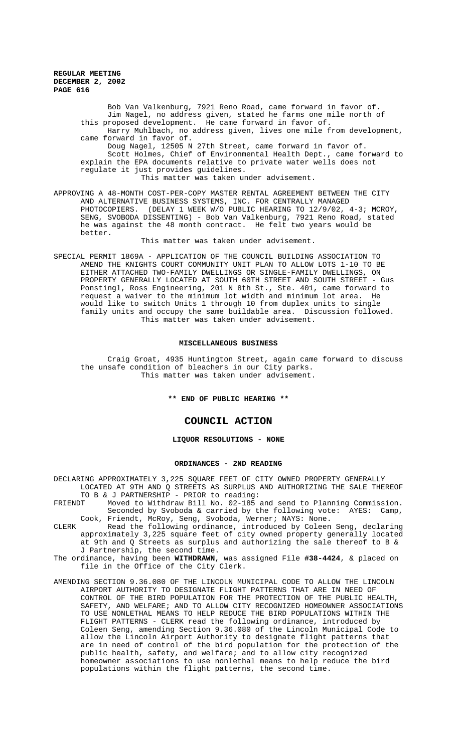> Bob Van Valkenburg, 7921 Reno Road, came forward in favor of. Jim Nagel, no address given, stated he farms one mile north of this proposed development. He came forward in favor of. Harry Muhlbach, no address given, lives one mile from development, came forward in favor of. Doug Nagel, 12505 N 27th Street, came forward in favor of. Scott Holmes, Chief of Environmental Health Dept., came forward to explain the EPA documents relative to private water wells does not regulate it just provides guidelines.

This matter was taken under advisement.

APPROVING A 48-MONTH COST-PER-COPY MASTER RENTAL AGREEMENT BETWEEN THE CITY AND ALTERNATIVE BUSINESS SYSTEMS, INC. FOR CENTRALLY MANAGED PHOTOCOPIERS. (DELAY 1 WEEK W/O PUBLIC HEARING TO 12/9/02, 4-3; MCROY, SENG, SVOBODA DISSENTING) - Bob Van Valkenburg, 7921 Reno Road, stated he was against the 48 month contract. He felt two years would be better.

This matter was taken under advisement.

SPECIAL PERMIT 1869A - APPLICATION OF THE COUNCIL BUILDING ASSOCIATION TO AMEND THE KNIGHTS COURT COMMUNITY UNIT PLAN TO ALLOW LOTS 1-10 TO BE EITHER ATTACHED TWO-FAMILY DWELLINGS OR SINGLE-FAMILY DWELLINGS, ON PROPERTY GENERALLY LOCATED AT SOUTH 60TH STREET AND SOUTH STREET - Gus Ponstingl, Ross Engineering, 201 N 8th St., Ste. 401, came forward to request a waiver to the minimum lot width and minimum lot area. He would like to switch Units 1 through 10 from duplex units to single family units and occupy the same buildable area. Discussion followed. This matter was taken under advisement.

#### **MISCELLANEOUS BUSINESS**

Craig Groat, 4935 Huntington Street, again came forward to discuss the unsafe condition of bleachers in our City parks. This matter was taken under advisement.

**\*\* END OF PUBLIC HEARING \*\***

## **COUNCIL ACTION**

## **LIQUOR RESOLUTIONS - NONE**

#### **ORDINANCES - 2ND READING**

DECLARING APPROXIMATELY 3,225 SQUARE FEET OF CITY OWNED PROPERTY GENERALLY LOCATED AT 9TH AND Q STREETS AS SURPLUS AND AUTHORIZING THE SALE THEREOF TO B & J PARTNERSHIP - PRIOR to reading:

- FRIENDT Moved to Withdraw Bill No. 02-185 and send to Planning Commission. Seconded by Svoboda & carried by the following vote: AYES: Camp, Cook, Friendt, McRoy, Seng, Svoboda, Werner; NAYS: None.
- CLERK Read the following ordinance, introduced by Coleen Seng, declaring approximately 3,225 square feet of city owned property generally located at 9th and Q Streets as surplus and authorizing the sale thereof to B & J Partnership, the second time.
- The ordinance, having been **WITHDRAWN**, was assigned File **#38-4424**, & placed on file in the Office of the City Clerk.
- AMENDING SECTION 9.36.080 OF THE LINCOLN MUNICIPAL CODE TO ALLOW THE LINCOLN AIRPORT AUTHORITY TO DESIGNATE FLIGHT PATTERNS THAT ARE IN NEED OF CONTROL OF THE BIRD POPULATION FOR THE PROTECTION OF THE PUBLIC HEALTH, SAFETY, AND WELFARE; AND TO ALLOW CITY RECOGNIZED HOMEOWNER ASSOCIATIONS TO USE NONLETHAL MEANS TO HELP REDUCE THE BIRD POPULATIONS WITHIN THE FLIGHT PATTERNS - CLERK read the following ordinance, introduced by Coleen Seng, amending Section 9.36.080 of the Lincoln Municipal Code to allow the Lincoln Airport Authority to designate flight patterns that are in need of control of the bird population for the protection of the public health, safety, and welfare; and to allow city recognized homeowner associations to use nonlethal means to help reduce the bird populations within the flight patterns, the second time.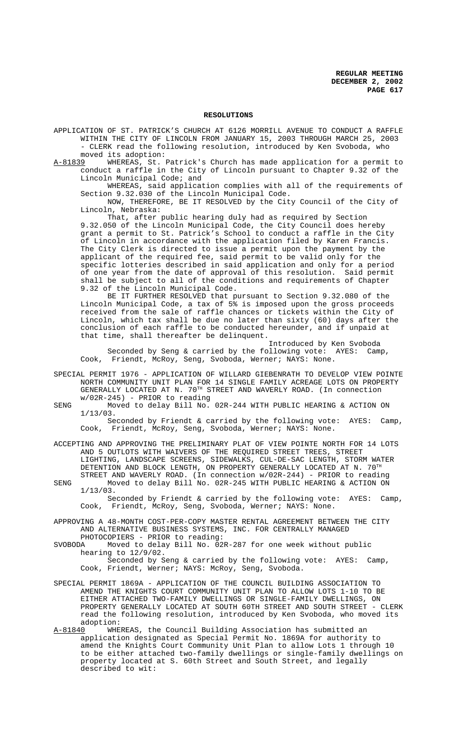### **RESOLUTIONS**

APPLICATION OF ST. PATRICK'S CHURCH AT 6126 MORRILL AVENUE TO CONDUCT A RAFFLE WITHIN THE CITY OF LINCOLN FROM JANUARY 15, 2003 THROUGH MARCH 25, 2003 - CLERK read the following resolution, introduced by Ken Svoboda, who moved its adoption:

A-81839 WHEREAS, St. Patrick's Church has made application for a permit to conduct a raffle in the City of Lincoln pursuant to Chapter 9.32 of the Lincoln Municipal Code; and

WHEREAS, said application complies with all of the requirements of Section 9.32.030 of the Lincoln Municipal Code.

NOW, THEREFORE, BE IT RESOLVED by the City Council of the City of Lincoln, Nebraska:

That, after public hearing duly had as required by Section 9.32.050 of the Lincoln Municipal Code, the City Council does hereby grant a permit to St. Patrick's School to conduct a raffle in the City of Lincoln in accordance with the application filed by Karen Francis. The City Clerk is directed to issue a permit upon the payment by the applicant of the required fee, said permit to be valid only for the specific lotteries described in said application and only for a period of one year from the date of approval of this resolution. Said permit shall be subject to all of the conditions and requirements of Chapter 9.32 of the Lincoln Municipal Code.

BE IT FURTHER RESOLVED that pursuant to Section 9.32.080 of the Lincoln Municipal Code, a tax of 5% is imposed upon the gross proceeds received from the sale of raffle chances or tickets within the City of Lincoln, which tax shall be due no later than sixty (60) days after the conclusion of each raffle to be conducted hereunder, and if unpaid at that time, shall thereafter be delinquent.

Introduced by Ken Svoboda Seconded by Seng & carried by the following vote: AYES: Camp, Cook, Friendt, McRoy, Seng, Svoboda, Werner; NAYS: None.

- SPECIAL PERMIT 1976 APPLICATION OF WILLARD GIEBENRATH TO DEVELOP VIEW POINTE NORTH COMMUNITY UNIT PLAN FOR 14 SINGLE FAMILY ACREAGE LOTS ON PROPERTY GENERALLY LOCATED AT N. 70TH STREET AND WAVERLY ROAD. (In connection w/02R-245) - PRIOR to reading
- SENG Moved to delay Bill No. 02R-244 WITH PUBLIC HEARING & ACTION ON 1/13/03.

Seconded by Friendt & carried by the following vote: AYES: Camp, Cook, Friendt, McRoy, Seng, Svoboda, Werner; NAYS: None.

- ACCEPTING AND APPROVING THE PRELIMINARY PLAT OF VIEW POINTE NORTH FOR 14 LOTS AND 5 OUTLOTS WITH WAIVERS OF THE REQUIRED STREET TREES, STREET LIGHTING, LANDSCAPE SCREENS, SIDEWALKS, CUL-DE-SAC LENGTH, STORM WATER DETENTION AND BLOCK LENGTH, ON PROPERTY GENERALLY LOCATED AT N.  $70^{\text{TH}}$ STREET AND WAVERLY ROAD. (In connection w/02R-244) - PRIOR to reading
- SENG Moved to delay Bill No. 02R-245 WITH PUBLIC HEARING & ACTION ON 1/13/03. Seconded by Friendt & carried by the following vote: AYES: Camp, Cook, Friendt, McRoy, Seng, Svoboda, Werner; NAYS: None.
- APPROVING A 48-MONTH COST-PER-COPY MASTER RENTAL AGREEMENT BETWEEN THE CITY AND ALTERNATIVE BUSINESS SYSTEMS, INC. FOR CENTRALLY MANAGED
- PHOTOCOPIERS PRIOR to reading:<br>SVOBODA Moved to delay Bill No. 02 Moved to delay Bill No.  $02R-287$  for one week without public hearing to 12/9/02.
	- Seconded by Seng & carried by the following vote: AYES: Camp, Cook, Friendt, Werner; NAYS: McRoy, Seng, Svoboda.
- SPECIAL PERMIT 1869A APPLICATION OF THE COUNCIL BUILDING ASSOCIATION TO AMEND THE KNIGHTS COURT COMMUNITY UNIT PLAN TO ALLOW LOTS 1-10 TO BE EITHER ATTACHED TWO-FAMILY DWELLINGS OR SINGLE-FAMILY DWELLINGS, ON PROPERTY GENERALLY LOCATED AT SOUTH 60TH STREET AND SOUTH STREET - CLERK read the following resolution, introduced by Ken Svoboda, who moved its adoption:<br>A-81840 WHE
- WHEREAS, the Council Building Association has submitted an application designated as Special Permit No. 1869A for authority to amend the Knights Court Community Unit Plan to allow Lots 1 through 10 to be either attached two-family dwellings or single-family dwellings on property located at S. 60th Street and South Street, and legally described to wit: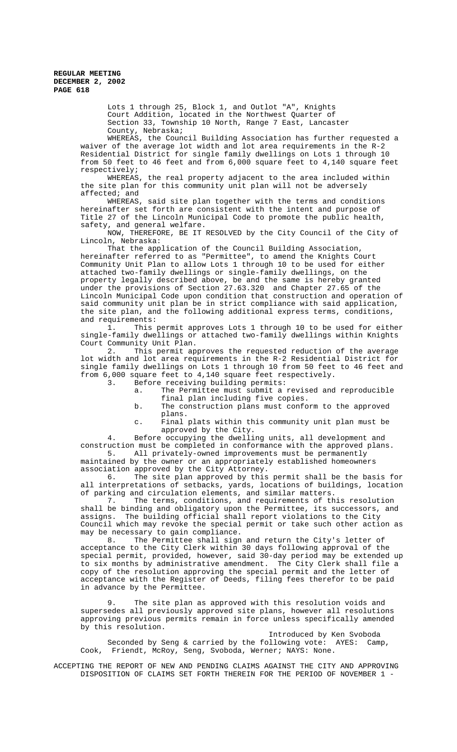Lots 1 through 25, Block 1, and Outlot "A", Knights Court Addition, located in the Northwest Quarter of Section 33, Township 10 North, Range 7 East, Lancaster County, Nebraska;

WHEREAS, the Council Building Association has further requested a waiver of the average lot width and lot area requirements in the R-2 Residential District for single family dwellings on Lots 1 through 10 from 50 feet to 46 feet and from 6,000 square feet to 4,140 square feet respectively;

WHEREAS, the real property adjacent to the area included within the site plan for this community unit plan will not be adversely affected; and

WHEREAS, said site plan together with the terms and conditions hereinafter set forth are consistent with the intent and purpose of Title 27 of the Lincoln Municipal Code to promote the public health, safety, and general welfare.

NOW, THEREFORE, BE IT RESOLVED by the City Council of the City of Lincoln, Nebraska:

That the application of the Council Building Association, hereinafter referred to as "Permittee", to amend the Knights Court Community Unit Plan to allow Lots 1 through 10 to be used for either attached two-family dwellings or single-family dwellings, on the property legally described above, be and the same is hereby granted under the provisions of Section 27.63.320 and Chapter 27.65 of the Lincoln Municipal Code upon condition that construction and operation of said community unit plan be in strict compliance with said application, the site plan, and the following additional express terms, conditions, and requirements:

1. This permit approves Lots 1 through 10 to be used for either single-family dwellings or attached two-family dwellings within Knights Court Community Unit Plan.

2. This permit approves the requested reduction of the average lot width and lot area requirements in the R-2 Residential District for single family dwellings on Lots 1 through 10 from 50 feet to 46 feet and from 6,000 square feet to 4,140 square feet respectively.

Before receiving building permits:

- a. The Permittee must submit a revised and reproducible final plan including five copies.
- b. The construction plans must conform to the approved plans.

c. Final plats within this community unit plan must be approved by the City.

4. Before occupying the dwelling units, all development and construction must be completed in conformance with the approved plans. 5. All privately-owned improvements must be permanently maintained by the owner or an appropriately established homeowners association approved by the City Attorney.

6. The site plan approved by this permit shall be the basis for all interpretations of setbacks, yards, locations of buildings, location of parking and circulation elements, and similar matters.

7. The terms, conditions, and requirements of this resolution shall be binding and obligatory upon the Permittee, its successors, and assigns. The building official shall report violations to the City Council which may revoke the special permit or take such other action as may be necessary to gain compliance.<br>8. The Permittee shall sign

The Permittee shall sign and return the City's letter of acceptance to the City Clerk within 30 days following approval of the special permit, provided, however, said 30-day period may be extended up to six months by administrative amendment. The City Clerk shall file a copy of the resolution approving the special permit and the letter of acceptance with the Register of Deeds, filing fees therefor to be paid in advance by the Permittee.

9. The site plan as approved with this resolution voids and supersedes all previously approved site plans, however all resolutions approving previous permits remain in force unless specifically amended by this resolution.

Introduced by Ken Svoboda Seconded by Seng & carried by the following vote: AYES: Camp, Cook, Friendt, McRoy, Seng, Svoboda, Werner; NAYS: None.

ACCEPTING THE REPORT OF NEW AND PENDING CLAIMS AGAINST THE CITY AND APPROVING DISPOSITION OF CLAIMS SET FORTH THEREIN FOR THE PERIOD OF NOVEMBER 1 -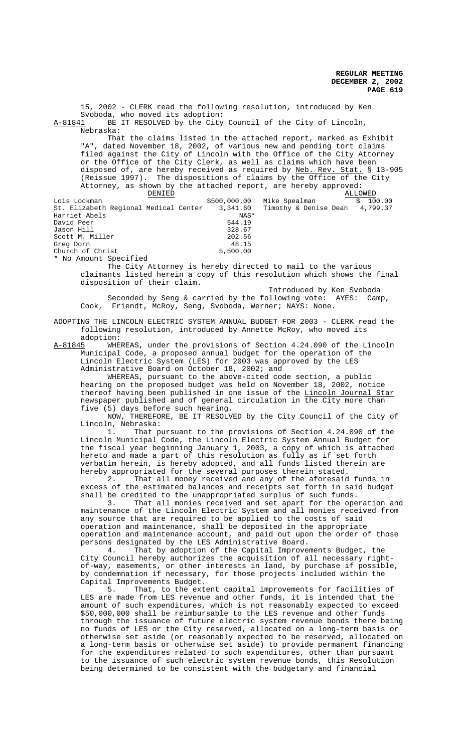15, 2002 - CLERK read the following resolution, introduced by Ken Svoboda, who moved its adoption: A-81841 BE IT RESOLVED by the City Council of the City of Lincoln, Nebraska: That the claims listed in the attached report, marked as Exhibit "A", dated November 18, 2002, of various new and pending tort claims filed against the City of Lincoln with the Office of the City Attorney or the Office of the City Clerk, as well as claims which have been disposed of, are hereby received as required by Neb. Rev. Stat. § 13-905 (Reissue 1997). The dispositions of claims by the Office of the City Attorney, as shown by the attached report, are hereby approved:<br>ALLO \$500,000.00 Mike Spealman ALLOWED Lois Lockman \$500,000.00 Mike Spealman \$ 100.00<br>St. Elizabeth Regional Medical Center 3,341.60 Timothy & Denise Dean 4,799.37<br>Harriet Abels St. Elizabeth Regional Medical Center 3,341.60<br>Harriet Abels NAS\* Harriet Abels MAS<br>
David Peer 544.19 David Peer 544.19 Jason Hill 328.67<br>Scott M. Miller 302.56 Scott M. Miller Greg Dorn 48.15<br>Church of Christ 5,500.00 Church of Christ \* No Amount Specified The City Attorney is hereby directed to mail to the various claimants listed herein a copy of this resolution which shows the final

disposition of their claim. Introduced by Ken Svoboda

Seconded by Seng & carried by the following vote: AYES: Camp, Cook, Friendt, McRoy, Seng, Svoboda, Werner; NAYS: None.

ADOPTING THE LINCOLN ELECTRIC SYSTEM ANNUAL BUDGET FOR 2003 - CLERK read the following resolution, introduced by Annette McRoy, who moved its adoption:

A-81845 WHEREAS, under the provisions of Section 4.24.090 of the Lincoln Municipal Code, a proposed annual budget for the operation of the Lincoln Electric System (LES) for 2003 was approved by the LES Administrative Board on October 18, 2002; and

WHEREAS, pursuant to the above-cited code section, a public hearing on the proposed budget was held on November 18, 2002, notice thereof having been published in one issue of the Lincoln Journal Star newspaper published and of general circulation in the City more than five (5) days before such hearing.

NOW, THEREFORE, BE IT RESOLVED by the City Council of the City of Lincoln, Nebraska:

1. That pursuant to the provisions of Section 4.24.090 of the Lincoln Municipal Code, the Lincoln Electric System Annual Budget for the fiscal year beginning January 1, 2003, a copy of which is attached hereto and made a part of this resolution as fully as if set forth verbatim herein, is hereby adopted, and all funds listed therein are hereby appropriated for the several purposes therein stated.

2. That all money received and any of the aforesaid funds in excess of the estimated balances and receipts set forth in said budget shall be credited to the unappropriated surplus of such funds.<br>3. That all monies received and set apart for the ope

That all monies received and set apart for the operation and maintenance of the Lincoln Electric System and all monies received from any source that are required to be applied to the costs of said operation and maintenance, shall be deposited in the appropriate operation and maintenance account, and paid out upon the order of those persons designated by the LES Administrative Board.

4. That by adoption of the Capital Improvements Budget, the City Council hereby authorizes the acquisition of all necessary rightof-way, easements, or other interests in land, by purchase if possible, by condemnation if necessary, for those projects included within the Capital Improvements Budget.<br>5. That, to the ext

That, to the extent capital improvements for facilities of LES are made from LES revenue and other funds, it is intended that the amount of such expenditures, which is not reasonably expected to exceed \$50,000,000 shall be reimbursable to the LES revenue and other funds through the issuance of future electric system revenue bonds there being no funds of LES or the City reserved, allocated on a long-term basis or otherwise set aside (or reasonably expected to be reserved, allocated on a long-term basis or otherwise set aside) to provide permanent financing for the expenditures related to such expenditures, other than pursuant to the issuance of such electric system revenue bonds, this Resolution being determined to be consistent with the budgetary and financial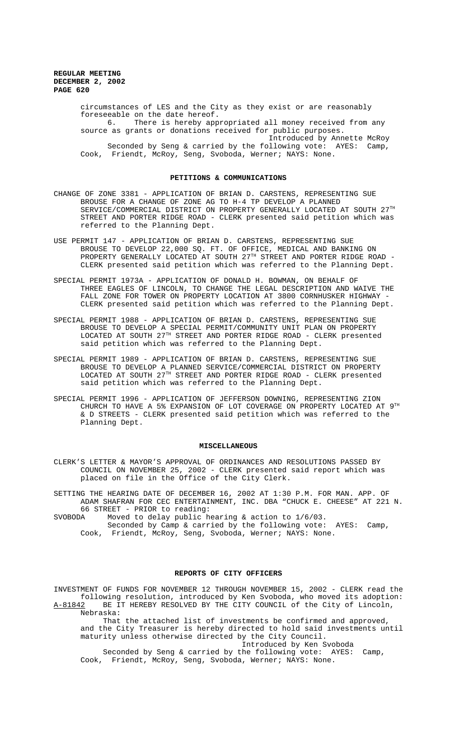circumstances of LES and the City as they exist or are reasonably foreseeable on the date hereof. 6. There is hereby appropriated all money received from any source as grants or donations received for public purposes. Introduced by Annette McRoy Seconded by Seng & carried by the following vote: AYES: Camp,

Cook, Friendt, McRoy, Seng, Svoboda, Werner; NAYS: None.

## **PETITIONS & COMMUNICATIONS**

- CHANGE OF ZONE 3381 APPLICATION OF BRIAN D. CARSTENS, REPRESENTING SUE BROUSE FOR A CHANGE OF ZONE AG TO H-4 TP DEVELOP A PLANNED SERVICE/COMMERCIAL DISTRICT ON PROPERTY GENERALLY LOCATED AT SOUTH  $27^{\text{\tiny{TH}}}$ STREET AND PORTER RIDGE ROAD - CLERK presented said petition which was referred to the Planning Dept.
- USE PERMIT 147 APPLICATION OF BRIAN D. CARSTENS, REPRESENTING SUE BROUSE TO DEVELOP 22,000 SQ. FT. OF OFFICE, MEDICAL AND BANKING ON PROPERTY GENERALLY LOCATED AT SOUTH 27<sup>TH</sup> STREET AND PORTER RIDGE ROAD -CLERK presented said petition which was referred to the Planning Dept.
- SPECIAL PERMIT 1973A APPLICATION OF DONALD H. BOWMAN, ON BEHALF OF THREE EAGLES OF LINCOLN, TO CHANGE THE LEGAL DESCRIPTION AND WAIVE THE FALL ZONE FOR TOWER ON PROPERTY LOCATION AT 3800 CORNHUSKER HIGHWAY -CLERK presented said petition which was referred to the Planning Dept.
- SPECIAL PERMIT 1988 APPLICATION OF BRIAN D. CARSTENS, REPRESENTING SUE BROUSE TO DEVELOP A SPECIAL PERMIT/COMMUNITY UNIT PLAN ON PROPERTY LOCATED AT SOUTH 27TH STREET AND PORTER RIDGE ROAD - CLERK presented said petition which was referred to the Planning Dept.
- SPECIAL PERMIT 1989 APPLICATION OF BRIAN D. CARSTENS, REPRESENTING SUE BROUSE TO DEVELOP A PLANNED SERVICE/COMMERCIAL DISTRICT ON PROPERTY LOCATED AT SOUTH 27TH STREET AND PORTER RIDGE ROAD - CLERK presented said petition which was referred to the Planning Dept.
- SPECIAL PERMIT 1996 APPLICATION OF JEFFERSON DOWNING, REPRESENTING ZION CHURCH TO HAVE A 5% EXPANSION OF LOT COVERAGE ON PROPERTY LOCATED AT 9TH & D STREETS - CLERK presented said petition which was referred to the Planning Dept.

#### **MISCELLANEOUS**

CLERK'S LETTER & MAYOR'S APPROVAL OF ORDINANCES AND RESOLUTIONS PASSED BY COUNCIL ON NOVEMBER 25, 2002 - CLERK presented said report which was placed on file in the Office of the City Clerk.

SETTING THE HEARING DATE OF DECEMBER 16, 2002 AT 1:30 P.M. FOR MAN. APP. OF ADAM SHAFRAN FOR CEC ENTERTAINMENT, INC. DBA "CHUCK E. CHEESE" AT 221 N. 66 STREET - PRIOR to reading:

SVOBODA Moved to delay public hearing & action to 1/6/03. Seconded by Camp & carried by the following vote: AYES: Camp,

Cook, Friendt, McRoy, Seng, Svoboda, Werner; NAYS: None.

#### **REPORTS OF CITY OFFICERS**

INVESTMENT OF FUNDS FOR NOVEMBER 12 THROUGH NOVEMBER 15, 2002 - CLERK read the following resolution, introduced by Ken Svoboda, who moved its adoption: A-81842 BE IT HEREBY RESOLVED BY THE CITY COUNCIL of the City of Lincoln, Nebraska:

 That the attached list of investments be confirmed and approved, and the City Treasurer is hereby directed to hold said investments until maturity unless otherwise directed by the City Council. Introduced by Ken Svoboda

 Seconded by Seng & carried by the following vote: AYES: Camp, Cook, Friendt, McRoy, Seng, Svoboda, Werner; NAYS: None.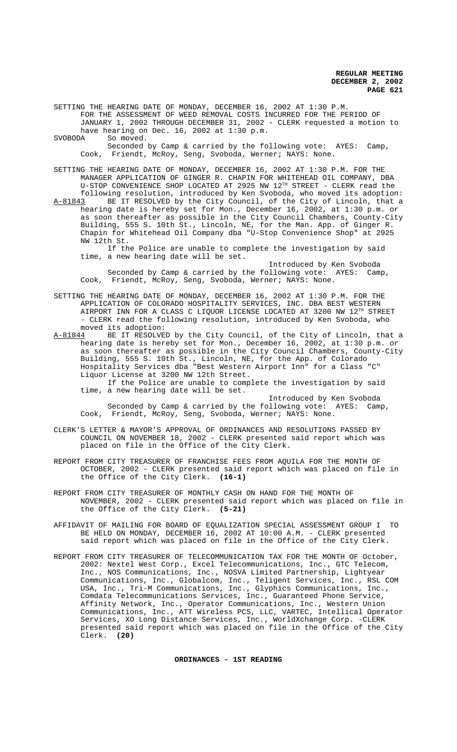SETTING THE HEARING DATE OF MONDAY, DECEMBER 16, 2002 AT 1:30 P.M. FOR THE ASSESSMENT OF WEED REMOVAL COSTS INCURRED FOR THE PERIOD OF JANUARY 1, 2002 THROUGH DECEMBER 31, 2002 - CLERK requested a motion to

have hearing on Dec. 16, 2002 at 1:30 p.m.<br>SVOBODA So moved.

So moved.

Seconded by Camp & carried by the following vote: AYES: Camp, Cook, Friendt, McRoy, Seng, Svoboda, Werner; NAYS: None.

SETTING THE HEARING DATE OF MONDAY, DECEMBER 16, 2002 AT 1:30 P.M. FOR THE MANAGER APPLICATION OF GINGER R. CHAPIN FOR WHITEHEAD OIL COMPANY, DBA U-STOP CONVENIENCE SHOP LOCATED AT 2925 NW 12TH STREET - CLERK read the following resolution, introduced by Ken Svoboda, who moved its adoption: A-81843 BE IT RESOLVED by the City Council, of the City of Lincoln, that a hearing date is hereby set for Mon., December 16, 2002, at 1:30 p.m. or as soon thereafter as possible in the City Council Chambers, County-City Building, 555 S. 10th St., Lincoln, NE, for the Man. App. of Ginger R. Chapin for Whitehead Oil Company dba "U-Stop Convenience Shop" at 2925 NW 12th St.

If the Police are unable to complete the investigation by said time, a new hearing date will be set.

Introduced by Ken Svoboda Seconded by Camp & carried by the following vote: AYES: Camp, Cook, Friendt, McRoy, Seng, Svoboda, Werner; NAYS: None.

SETTING THE HEARING DATE OF MONDAY, DECEMBER 16, 2002 AT 1:30 P.M. FOR THE APPLICATION OF COLORADO HOSPITALITY SERVICES, INC. DBA BEST WESTERN AIRPORT INN FOR A CLASS C LIQUOR LICENSE LOCATED AT 3200 NW  $12^{TH}$  STREET - CLERK read the following resolution, introduced by Ken Svoboda, who moved its adoption:

A-81844 BE IT RESOLVED by the City Council, of the City of Lincoln, that a hearing date is hereby set for Mon., December 16, 2002, at 1:30 p.m. or as soon thereafter as possible in the City Council Chambers, County-City Building, 555 S. 10th St., Lincoln, NE, for the App. of Colorado Hospitality Services dba "Best Western Airport Inn" for a Class "C" Liquor License at 3200 NW 12th Street.

If the Police are unable to complete the investigation by said time, a new hearing date will be set.

Introduced by Ken Svoboda Seconded by Camp & carried by the following vote: AYES: Camp, Cook, Friendt, McRoy, Seng, Svoboda, Werner; NAYS: None.

- CLERK'S LETTER & MAYOR'S APPROVAL OF ORDINANCES AND RESOLUTIONS PASSED BY COUNCIL ON NOVEMBER 18, 2002 - CLERK presented said report which was placed on file in the Office of the City Clerk.
- REPORT FROM CITY TREASURER OF FRANCHISE FEES FROM AQUILA FOR THE MONTH OF OCTOBER, 2002 - CLERK presented said report which was placed on file in the Office of the City Clerk. **(16-1)**
- REPORT FROM CITY TREASURER OF MONTHLY CASH ON HAND FOR THE MONTH OF NOVEMBER, 2002 - CLERK presented said report which was placed on file in the Office of the City Clerk. **(5-21)**
- AFFIDAVIT OF MAILING FOR BOARD OF EQUALIZATION SPECIAL ASSESSMENT GROUP I TO BE HELD ON MONDAY, DECEMBER 16, 2002 AT 10:00 A.M. - CLERK presented said report which was placed on file in the Office of the City Clerk.
- REPORT FROM CITY TREASURER OF TELECOMMUNICATION TAX FOR THE MONTH OF October, 2002: Nextel West Corp., Excel Telecommunications, Inc., GTC Telecom, Inc., NOS Communications, Inc., NOSVA Limited Partnership, Lightyear Communications, Inc., Globalcom, Inc., Teligent Services, Inc., RSL COM USA, Inc., Tri-M Communications, Inc., Glyphics Communications, Inc., Comdata Telecommunications Services, Inc., Guaranteed Phone Service, Affinity Network, Inc., Operator Communications, Inc., Western Union Communications, Inc., ATT Wireless PCS, LLC, VARTEC, Intellical Operator Services, XO Long Distance Services, Inc., WorldXchange Corp. -CLERK presented said report which was placed on file in the Office of the City Clerk. **(20)**

## **ORDINANCES - 1ST READING**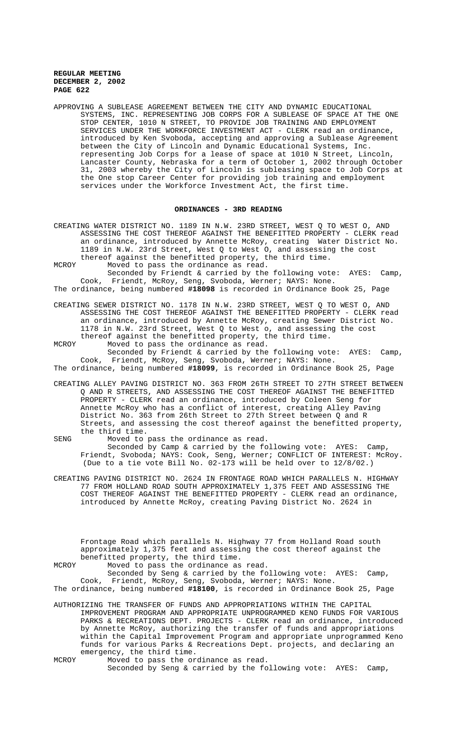APPROVING A SUBLEASE AGREEMENT BETWEEN THE CITY AND DYNAMIC EDUCATIONAL SYSTEMS, INC. REPRESENTING JOB CORPS FOR A SUBLEASE OF SPACE AT THE ONE STOP CENTER, 1010 N STREET, TO PROVIDE JOB TRAINING AND EMPLOYMENT SERVICES UNDER THE WORKFORCE INVESTMENT ACT - CLERK read an ordinance, introduced by Ken Svoboda, accepting and approving a Sublease Agreement between the City of Lincoln and Dynamic Educational Systems, Inc. representing Job Corps for a lease of space at 1010 N Street, Lincoln, Lancaster County, Nebraska for a term of October 1, 2002 through October 31, 2003 whereby the City of Lincoln is subleasing space to Job Corps at the One stop Career Center for providing job training and employment services under the Workforce Investment Act, the first time.

### **ORDINANCES - 3RD READING**

- CREATING WATER DISTRICT NO. 1189 IN N.W. 23RD STREET, WEST Q TO WEST O, AND ASSESSING THE COST THEREOF AGAINST THE BENEFITTED PROPERTY - CLERK read an ordinance, introduced by Annette McRoy, creating Water District No. 1189 in N.W. 23rd Street, West Q to West O, and assessing the cost thereof against the benefitted property, the third time.
- MCROY Moved to pass the ordinance as read.
- Seconded by Friendt & carried by the following vote: AYES: Camp, Cook, Friendt, McRoy, Seng, Svoboda, Werner; NAYS: None.
- The ordinance, being numbered **#18098** is recorded in Ordinance Book 25, Page
- CREATING SEWER DISTRICT NO. 1178 IN N.W. 23RD STREET, WEST Q TO WEST O, AND ASSESSING THE COST THEREOF AGAINST THE BENEFITTED PROPERTY - CLERK read an ordinance, introduced by Annette McRoy, creating Sewer District No. 1178 in N.W. 23rd Street, West Q to West o, and assessing the cost thereof against the benefitted property, the third time.
- MCROY Moved to pass the ordinance as read. Seconded by Friendt & carried by the following vote: AYES: Camp, Cook, Friendt, McRoy, Seng, Svoboda, Werner; NAYS: None.
- The ordinance, being numbered **#18099**, is recorded in Ordinance Book 25, Page
- CREATING ALLEY PAVING DISTRICT NO. 363 FROM 26TH STREET TO 27TH STREET BETWEEN Q AND R STREETS, AND ASSESSING THE COST THEREOF AGAINST THE BENEFITTED PROPERTY - CLERK read an ordinance, introduced by Coleen Seng for Annette McRoy who has a conflict of interest, creating Alley Paving District No. 363 from 26th Street to 27th Street between Q and R Streets, and assessing the cost thereof against the benefitted property, the third time.
- SENG Moved to pass the ordinance as read. Seconded by Camp & carried by the following vote: AYES: Camp, Friendt, Svoboda; NAYS: Cook, Seng, Werner; CONFLICT OF INTEREST: McRoy. (Due to a tie vote Bill No. 02-173 will be held over to 12/8/02.)
- CREATING PAVING DISTRICT NO. 2624 IN FRONTAGE ROAD WHICH PARALLELS N. HIGHWAY 77 FROM HOLLAND ROAD SOUTH APPROXIMATELY 1,375 FEET AND ASSESSING THE COST THEREOF AGAINST THE BENEFITTED PROPERTY - CLERK read an ordinance, introduced by Annette McRoy, creating Paving District No. 2624 in

Frontage Road which parallels N. Highway 77 from Holland Road south approximately 1,375 feet and assessing the cost thereof against the benefitted property, the third time.

MCROY Moved to pass the ordinance as read.

Seconded by Seng & carried by the following vote: AYES: Camp, Cook, Friendt, McRoy, Seng, Svoboda, Werner; NAYS: None.

- The ordinance, being numbered **#18100**, is recorded in Ordinance Book 25, Page
- AUTHORIZING THE TRANSFER OF FUNDS AND APPROPRIATIONS WITHIN THE CAPITAL IMPROVEMENT PROGRAM AND APPROPRIATE UNPROGRAMMED KENO FUNDS FOR VARIOUS PARKS & RECREATIONS DEPT. PROJECTS - CLERK read an ordinance, introduced by Annette McRoy, authorizing the transfer of funds and appropriations within the Capital Improvement Program and appropriate unprogrammed Keno funds for various Parks & Recreations Dept. projects, and declaring an emergency, the third time.
- MCROY Moved to pass the ordinance as read. Seconded by Seng & carried by the following vote: AYES: Camp,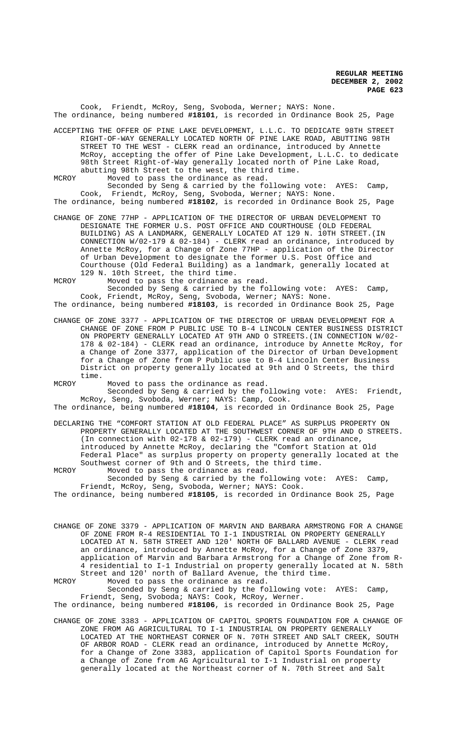Cook, Friendt, McRoy, Seng, Svoboda, Werner; NAYS: None. The ordinance, being numbered **#18101**, is recorded in Ordinance Book 25, Page

- ACCEPTING THE OFFER OF PINE LAKE DEVELOPMENT, L.L.C. TO DEDICATE 98TH STREET RIGHT-OF-WAY GENERALLY LOCATED NORTH OF PINE LAKE ROAD, ABUTTING 98TH STREET TO THE WEST - CLERK read an ordinance, introduced by Annette McRoy, accepting the offer of Pine Lake Development, L.L.C. to dedicate 98th Street Right-of-Way generally located north of Pine Lake Road, abutting 98th Street to the west, the third time.
- MCROY Moved to pass the ordinance as read.

Seconded by Seng & carried by the following vote: AYES: Camp, Cook, Friendt, McRoy, Seng, Svoboda, Werner; NAYS: None. The ordinance, being numbered **#18102**, is recorded in Ordinance Book 25, Page

- CHANGE OF ZONE 77HP APPLICATION OF THE DIRECTOR OF URBAN DEVELOPMENT TO DESIGNATE THE FORMER U.S. POST OFFICE AND COURTHOUSE (OLD FEDERAL BUILDING) AS A LANDMARK, GENERALLY LOCATED AT 129 N. 10TH STREET.(IN CONNECTION W/02-179 & 02-184) - CLERK read an ordinance, introduced by Annette McRoy, for a Change of Zone 77HP - application of the Director of Urban Development to designate the former U.S. Post Office and Courthouse (Old Federal Building) as a landmark, generally located at 129 N. 10th Street, the third time.
- MCROY Moved to pass the ordinance as read.

Seconded by Seng & carried by the following vote: AYES: Camp, Cook, Friendt, McRoy, Seng, Svoboda, Werner; NAYS: None. The ordinance, being numbered **#18103**, is recorded in Ordinance Book 25, Page

CHANGE OF ZONE 3377 - APPLICATION OF THE DIRECTOR OF URBAN DEVELOPMENT FOR A CHANGE OF ZONE FROM P PUBLIC USE TO B-4 LINCOLN CENTER BUSINESS DISTRICT ON PROPERTY GENERALLY LOCATED AT 9TH AND O STREETS.(IN CONNECTION W/02- 178 & 02-184) - CLERK read an ordinance, introduce by Annette McRoy, for a Change of Zone 3377, application of the Director of Urban Development for a Change of Zone from P Public use to B-4 Lincoln Center Business District on property generally located at 9th and O Streets, the third time.

MCROY Moved to pass the ordinance as read.

Seconded by Seng & carried by the following vote: AYES: Friendt, McRoy, Seng, Svoboda, Werner; NAYS: Camp, Cook.

The ordinance, being numbered **#18104**, is recorded in Ordinance Book 25, Page

DECLARING THE "COMFORT STATION AT OLD FEDERAL PLACE" AS SURPLUS PROPERTY ON PROPERTY GENERALLY LOCATED AT THE SOUTHWEST CORNER OF 9TH AND O STREETS. (In connection with 02-178 & 02-179) - CLERK read an ordinance, introduced by Annette McRoy, declaring the "Comfort Station at Old Federal Place" as surplus property on property generally located at the Southwest corner of 9th and O Streets, the third time.

MCROY Moved to pass the ordinance as read. Seconded by Seng & carried by the following vote: AYES: Camp, Friendt, McRoy, Seng, Svoboda, Werner; NAYS: Cook.

The ordinance, being numbered **#18105**, is recorded in Ordinance Book 25, Page

CHANGE OF ZONE 3379 - APPLICATION OF MARVIN AND BARBARA ARMSTRONG FOR A CHANGE OF ZONE FROM R-4 RESIDENTIAL TO I-1 INDUSTRIAL ON PROPERTY GENERALLY LOCATED AT N. 58TH STREET AND 120' NORTH OF BALLARD AVENUE - CLERK read an ordinance, introduced by Annette McRoy, for a Change of Zone 3379, application of Marvin and Barbara Armstrong for a Change of Zone from R-4 residential to I-1 Industrial on property generally located at N. 58th Street and 120' north of Ballard Avenue, the third time. MCROY Moved to pass the ordinance as read.

Seconded by Seng & carried by the following vote: AYES: Camp, Friendt, Seng, Svoboda; NAYS: Cook, McRoy, Werner.

- The ordinance, being numbered **#18106**, is recorded in Ordinance Book 25, Page
- CHANGE OF ZONE 3383 APPLICATION OF CAPITOL SPORTS FOUNDATION FOR A CHANGE OF ZONE FROM AG AGRICULTURAL TO I-1 INDUSTRIAL ON PROPERTY GENERALLY LOCATED AT THE NORTHEAST CORNER OF N. 70TH STREET AND SALT CREEK, SOUTH OF ARBOR ROAD - CLERK read an ordinance, introduced by Annette McRoy, for a Change of Zone 3383, application of Capitol Sports Foundation for a Change of Zone from AG Agricultural to I-1 Industrial on property generally located at the Northeast corner of N. 70th Street and Salt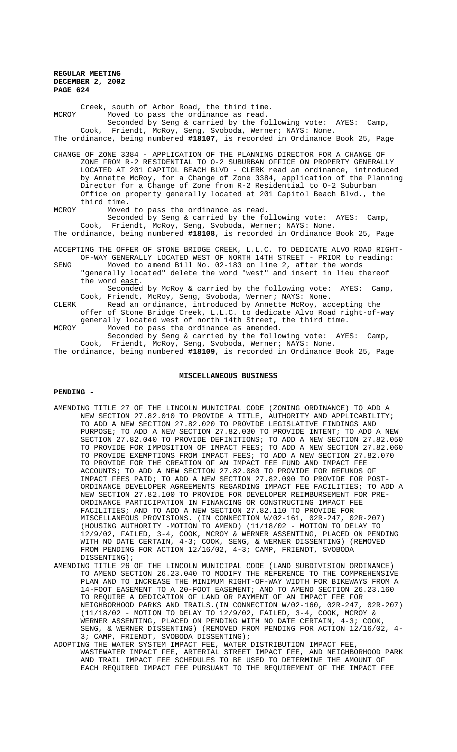Creek, south of Arbor Road, the third time. MCROY Moved to pass the ordinance as read. Seconded by Seng & carried by the following vote: AYES: Camp, Cook, Friendt, McRoy, Seng, Svoboda, Werner; NAYS: None. The ordinance, being numbered **#18107**, is recorded in Ordinance Book 25, Page CHANGE OF ZONE 3384 - APPLICATION OF THE PLANNING DIRECTOR FOR A CHANGE OF ZONE FROM R-2 RESIDENTIAL TO O-2 SUBURBAN OFFICE ON PROPERTY GENERALLY LOCATED AT 201 CAPITOL BEACH BLVD - CLERK read an ordinance, introduced by Annette McRoy, for a Change of Zone 3384, application of the Planning Director for a Change of Zone from R-2 Residential to O-2 Suburban Office on property generally located at 201 Capitol Beach Blvd., the third time. MCROY Moved to pass the ordinance as read. Seconded by Seng & carried by the following vote: AYES: Camp, Cook, Friendt, McRoy, Seng, Svoboda, Werner; NAYS: None. The ordinance, being numbered **#18108**, is recorded in Ordinance Book 25, Page ACCEPTING THE OFFER OF STONE BRIDGE CREEK, L.L.C. TO DEDICATE ALVO ROAD RIGHT-OF-WAY GENERALLY LOCATED WEST OF NORTH 14TH STREET - PRIOR to reading: SENG Moved to amend Bill No. 02-183 on line 2, after the words "generally located" delete the word "west" and insert in lieu thereof the word east.

Seconded by McRoy & carried by the following vote: AYES: Camp, Cook, Friendt, McRoy, Seng, Svoboda, Werner; NAYS: None. CLERK Read an ordinance, introduced by Annette McRoy, accepting the

offer of Stone Bridge Creek, L.L.C. to dedicate Alvo Road right-of-way generally located west of north 14th Street, the third time.

MCROY Moved to pass the ordinance as amended. Seconded by Seng & carried by the following vote: AYES: Camp, Cook, Friendt, McRoy, Seng, Svoboda, Werner; NAYS: None.

The ordinance, being numbered **#18109**, is recorded in Ordinance Book 25, Page

## **MISCELLANEOUS BUSINESS**

### **PENDING -**

- AMENDING TITLE 27 OF THE LINCOLN MUNICIPAL CODE (ZONING ORDINANCE) TO ADD A NEW SECTION 27.82.010 TO PROVIDE A TITLE, AUTHORITY AND APPLICABILITY; TO ADD A NEW SECTION 27.82.020 TO PROVIDE LEGISLATIVE FINDINGS AND PURPOSE; TO ADD A NEW SECTION 27.82.030 TO PROVIDE INTENT; TO ADD A NEW SECTION 27.82.040 TO PROVIDE DEFINITIONS; TO ADD A NEW SECTION 27.82.050 TO PROVIDE FOR IMPOSITION OF IMPACT FEES; TO ADD A NEW SECTION 27.82.060 TO PROVIDE EXEMPTIONS FROM IMPACT FEES; TO ADD A NEW SECTION 27.82.070 TO PROVIDE FOR THE CREATION OF AN IMPACT FEE FUND AND IMPACT FEE ACCOUNTS; TO ADD A NEW SECTION 27.82.080 TO PROVIDE FOR REFUNDS OF IMPACT FEES PAID; TO ADD A NEW SECTION 27.82.090 TO PROVIDE FOR POST-ORDINANCE DEVELOPER AGREEMENTS REGARDING IMPACT FEE FACILITIES; TO ADD A NEW SECTION 27.82.100 TO PROVIDE FOR DEVELOPER REIMBURSEMENT FOR PRE-ORDINANCE PARTICIPATION IN FINANCING OR CONSTRUCTING IMPACT FEE FACILITIES; AND TO ADD A NEW SECTION 27.82.110 TO PROVIDE FOR MISCELLANEOUS PROVISIONS. (IN CONNECTION W/02-161, 02R-247, 02R-207) (HOUSING AUTHORITY -MOTION TO AMEND) (11/18/02 - MOTION TO DELAY TO 12/9/02, FAILED, 3-4, COOK, MCROY & WERNER ASSENTING, PLACED ON PENDING WITH NO DATE CERTAIN, 4-3; COOK, SENG, & WERNER DISSENTING) (REMOVED FROM PENDING FOR ACTION 12/16/02, 4-3; CAMP, FRIENDT, SVOBODA DISSENTING);
- AMENDING TITLE 26 OF THE LINCOLN MUNICIPAL CODE (LAND SUBDIVISION ORDINANCE) TO AMEND SECTION 26.23.040 TO MODIFY THE REFERENCE TO THE COMPREHENSIVE PLAN AND TO INCREASE THE MINIMUM RIGHT-OF-WAY WIDTH FOR BIKEWAYS FROM A 14-FOOT EASEMENT TO A 20-FOOT EASEMENT; AND TO AMEND SECTION 26.23.160 TO REQUIRE A DEDICATION OF LAND OR PAYMENT OF AN IMPACT FEE FOR NEIGHBORHOOD PARKS AND TRAILS.(IN CONNECTION W/02-160, 02R-247, 02R-207) (11/18/02 - MOTION TO DELAY TO 12/9/02, FAILED, 3-4, COOK, MCROY & WERNER ASSENTING, PLACED ON PENDING WITH NO DATE CERTAIN, 4-3; COOK, SENG, & WERNER DISSENTING) (REMOVED FROM PENDING FOR ACTION 12/16/02, 4- 3; CAMP, FRIENDT, SVOBODA DISSENTING);
- ADOPTING THE WATER SYSTEM IMPACT FEE, WATER DISTRIBUTION IMPACT FEE, WASTEWATER IMPACT FEE, ARTERIAL STREET IMPACT FEE, AND NEIGHBORHOOD PARK AND TRAIL IMPACT FEE SCHEDULES TO BE USED TO DETERMINE THE AMOUNT OF EACH REQUIRED IMPACT FEE PURSUANT TO THE REQUIREMENT OF THE IMPACT FEE